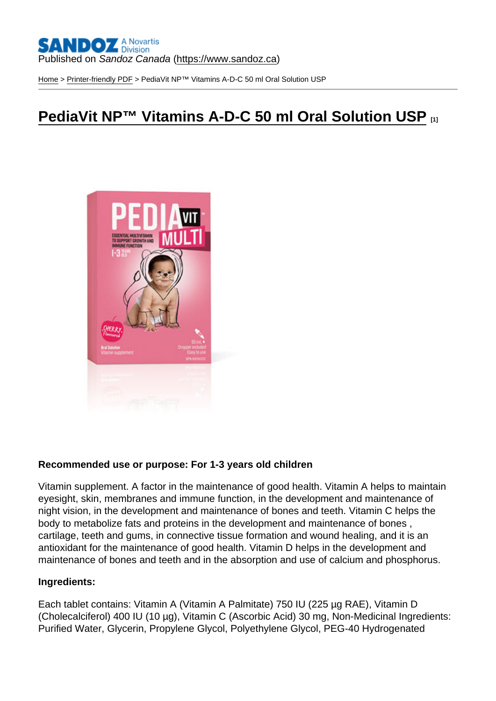[Home](https://www.sandoz.ca/en) > [Printer-friendly PDF](https://www.sandoz.ca/en/printpdf) > PediaVit NP™ Vitamins A-D-C 50 ml Oral Solution USP

# [PediaVit NP™ Vitamins A-D-C 50 ml Oral Solution USP](https://www.sandoz.ca/en/pediavit-nptm-vitamins-d-c-50-ml-oral-solution-usp) [1]

Recommended use or purpose: For 1-3 years old children

Vitamin supplement. A factor in the maintenance of good health. Vitamin A helps to maintain eyesight, skin, membranes and immune function, in the development and maintenance of night vision, in the development and maintenance of bones and teeth. Vitamin C helps the body to metabolize fats and proteins in the development and maintenance of bones , cartilage, teeth and gums, in connective tissue formation and wound healing, and it is an antioxidant for the maintenance of good health. Vitamin D helps in the development and maintenance of bones and teeth and in the absorption and use of calcium and phosphorus.

Ingredients:

Each tablet contains: Vitamin A (Vitamin A Palmitate) 750 IU (225 µg RAE), Vitamin D (Cholecalciferol) 400 IU (10 µg), Vitamin C (Ascorbic Acid) 30 mg, Non-Medicinal Ingredients: Purified Water, Glycerin, Propylene Glycol, Polyethylene Glycol, PEG-40 Hydrogenated